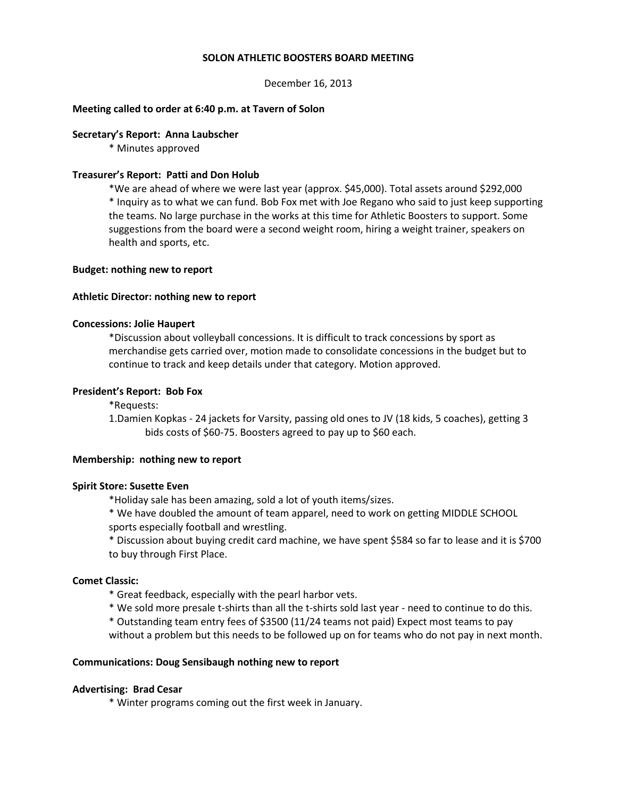#### **SOLON ATHLETIC BOOSTERS BOARD MEETING**

December 16, 2013

### **Meeting called to order at 6:40 p.m. at Tavern of Solon**

#### **Secretary's Report: Anna Laubscher**

\* Minutes approved

# **Treasurer's Report: Patti and Don Holub**

\*We are ahead of where we were last year (approx. \$45,000). Total assets around \$292,000 \* Inquiry as to what we can fund. Bob Fox met with Joe Regano who said to just keep supporting the teams. No large purchase in the works at this time for Athletic Boosters to support. Some suggestions from the board were a second weight room, hiring a weight trainer, speakers on health and sports, etc.

#### **Budget: nothing new to report**

### **Athletic Director: nothing new to report**

#### **Concessions: Jolie Haupert**

\*Discussion about volleyball concessions. It is difficult to track concessions by sport as merchandise gets carried over, motion made to consolidate concessions in the budget but to continue to track and keep details under that category. Motion approved.

#### **President's Report: Bob Fox**

\*Requests:

1.Damien Kopkas - 24 jackets for Varsity, passing old ones to JV (18 kids, 5 coaches), getting 3 bids costs of \$60-75. Boosters agreed to pay up to \$60 each.

#### **Membership: nothing new to report**

#### **Spirit Store: Susette Even**

\*Holiday sale has been amazing, sold a lot of youth items/sizes.

\* We have doubled the amount of team apparel, need to work on getting MIDDLE SCHOOL sports especially football and wrestling.

\* Discussion about buying credit card machine, we have spent \$584 so far to lease and it is \$700 to buy through First Place.

# **Comet Classic:**

- \* Great feedback, especially with the pearl harbor vets.
- \* We sold more presale t-shirts than all the t-shirts sold last year need to continue to do this.
- \* Outstanding team entry fees of \$3500 (11/24 teams not paid) Expect most teams to pay

without a problem but this needs to be followed up on for teams who do not pay in next month.

#### **Communications: Doug Sensibaugh nothing new to report**

#### **Advertising: Brad Cesar**

\* Winter programs coming out the first week in January.